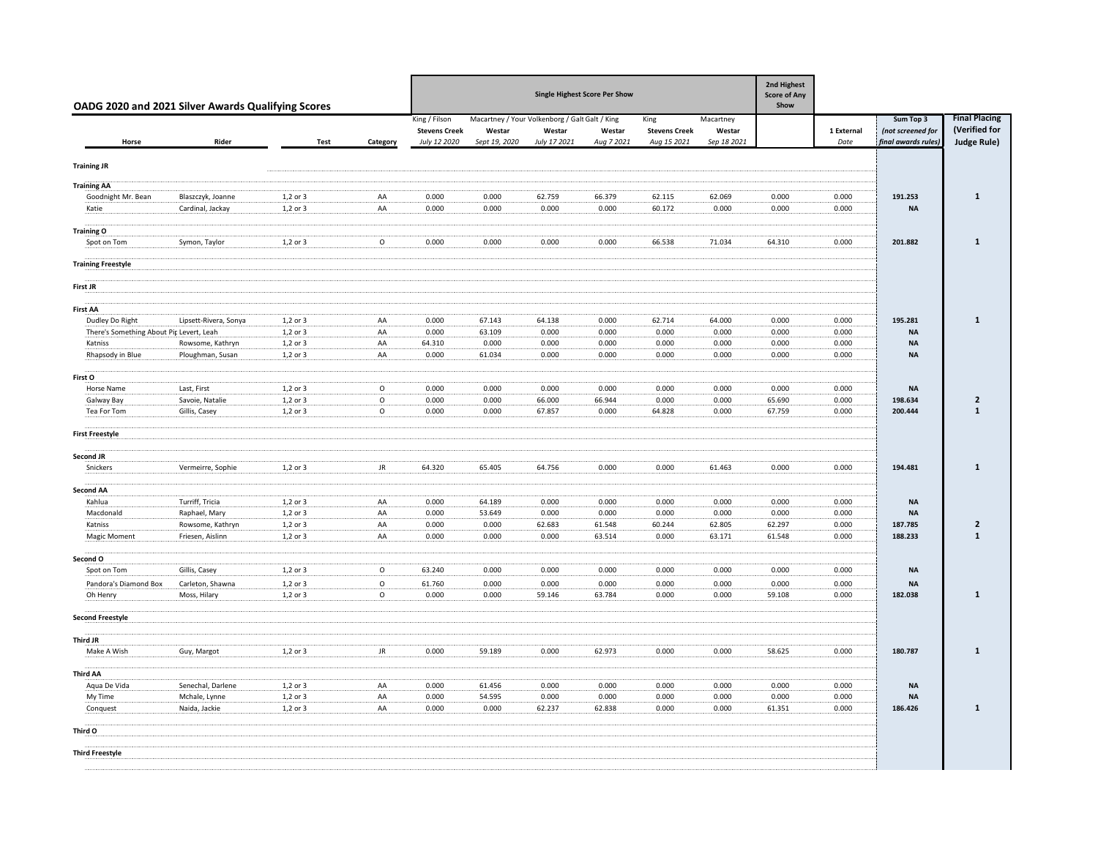| OADG 2020 and 2021 Silver Awards Qualifying Scores |                                      | <b>Single Highest Score Per Show</b> |              |                                      |                                                |                        |                      |                                     |                       |                  |                    |                                          |                                |
|----------------------------------------------------|--------------------------------------|--------------------------------------|--------------|--------------------------------------|------------------------------------------------|------------------------|----------------------|-------------------------------------|-----------------------|------------------|--------------------|------------------------------------------|--------------------------------|
|                                                    |                                      |                                      |              | King / Filson                        | Macartney / Your Volkenborg / Galt Galt / King |                        |                      | King                                | Macartney             |                  |                    | Sum Top 3                                | <b>Final Placing</b>           |
| Horse                                              | Rider                                | <b>Test</b>                          | Category     | <b>Stevens Creek</b><br>July 12 2020 | Westar<br>Sept 19, 2020                        | Westar<br>July 17 2021 | Westar<br>Aug 7 2021 | <b>Stevens Creek</b><br>Aug 15 2021 | Westar<br>Sep 18 2021 |                  | 1 External<br>Date | (not screened for<br>final awards rules) | (Verified for<br>Judge Rule)   |
| <b>Training JR</b>                                 |                                      |                                      |              |                                      |                                                |                        |                      |                                     |                       |                  |                    |                                          |                                |
| <b>Training AA</b>                                 |                                      |                                      |              |                                      |                                                |                        |                      |                                     |                       |                  |                    |                                          |                                |
| Goodnight Mr. Bean                                 | Blaszczyk, Joanne                    | 1,2 or 3                             | AA           | 0.000                                | 0.000                                          | 62.759                 | 66.379               | 62.115                              | 62.069                | 0.000            | 0.000              | 191.253                                  | $\mathbf{1}$                   |
| Katie                                              | Cardinal, Jackay                     | 1,2 or 3                             | AA           | 0.000                                | 0.000                                          | 0.000                  | 0.000                | 60.172                              | 0.000                 | 0.000            | 0.000              | <b>NA</b>                                |                                |
|                                                    |                                      |                                      |              |                                      |                                                |                        |                      |                                     |                       |                  |                    |                                          |                                |
| <b>Training O</b><br>Spot on Tom                   | Symon, Taylor                        | 1,2 or 3                             | $\mathsf{o}$ | 0.000                                | 0.000                                          | 0.000                  | 0.000                | 66.538                              | 71.034                | 64.310           | 0.000              | 201.882                                  | $\mathbf{1}$                   |
|                                                    |                                      |                                      |              |                                      |                                                |                        |                      |                                     |                       |                  |                    |                                          |                                |
| <b>Training Freestyle</b>                          |                                      |                                      |              |                                      |                                                |                        |                      |                                     |                       |                  |                    |                                          |                                |
| First JR                                           |                                      |                                      |              |                                      |                                                |                        |                      |                                     |                       |                  |                    |                                          |                                |
| <b>First AA</b>                                    |                                      |                                      |              |                                      |                                                |                        |                      |                                     |                       |                  |                    |                                          |                                |
| Dudley Do Right                                    | Lipsett-Rivera, Sonya                | 1,2 or 3                             | AA           | 0.000                                | 67.143                                         | 64.138                 | 0.000                | 62.714                              | 64.000                | 0.000            | 0.000              | 195.281                                  | $\mathbf{1}$                   |
| There's Something About Pip Levert, Leah           |                                      | $1,2$ or $3$                         | AA           | 0.000                                | 63.109                                         | 0.000                  | 0.000                | 0.000                               | 0.000                 | 0.000            | 0.000              | <b>NA</b>                                |                                |
| Katniss<br>Rhapsody in Blue                        | Rowsome, Kathryn<br>Ploughman, Susan | 1,2 or 3<br>1,2 or 3                 | AA<br>AA     | 64.310<br>0.000                      | 0.000<br>61.034                                | 0.000<br>0.000         | 0.000<br>0.000       | 0.000<br>0.000                      | 0.000<br>0.000        | 0.000<br>0.000   | 0.000<br>0.000     | <b>NA</b><br><b>NA</b>                   |                                |
|                                                    |                                      |                                      |              |                                      |                                                |                        |                      |                                     |                       |                  |                    |                                          |                                |
| First O                                            |                                      |                                      |              |                                      |                                                |                        |                      |                                     |                       |                  |                    |                                          |                                |
| Horse Name                                         | Last, First                          | 1,2 or 3                             | $\circ$      | 0.000                                | 0.000                                          | 0.000                  | 0.000                | 0.000                               | 0.000                 | 0.000            | 0.000              | <b>NA</b>                                |                                |
| Galway Bay                                         | Savoie, Natalie                      | 1,2 or 3                             | $\mathsf{o}$ | 0.000<br>0.000                       | 0.000<br>0.000                                 | 66.000<br>67.857       | 66.944<br>0.000      | 0.000<br>64.828                     | 0.000                 | 65.690           | 0.000<br>0.000     | 198.634<br>200.444                       | $\overline{2}$<br>$\mathbf{1}$ |
| Tea For Tom                                        | Gillis, Casey                        | $1,2$ or $3$                         | $\circ$      |                                      |                                                |                        |                      |                                     | 0.000                 | 67.759           |                    |                                          |                                |
| <b>First Freestyle</b>                             |                                      |                                      |              |                                      |                                                |                        |                      |                                     |                       |                  |                    |                                          |                                |
| Second JR                                          |                                      |                                      |              |                                      |                                                |                        |                      |                                     |                       |                  |                    |                                          |                                |
| Snickers                                           | Vermeirre, Sophie                    | 1,2 or 3                             | JR           | 64.320                               | 65.405                                         | 64.756                 | 0.000                | 0.000                               | 61.463                | 0.000            | 0.000              | 194.481                                  | $\mathbf{1}$                   |
| <b>Second AA</b>                                   |                                      |                                      |              |                                      |                                                |                        |                      |                                     |                       |                  |                    |                                          |                                |
| Kahlua                                             | Turriff, Tricia                      | 1,2 or 3                             | AA           | 0.000                                | 64.189                                         | 0.000                  | 0.000                | 0.000                               | 0.000                 | 0.000            | 0.000              | <b>NA</b>                                |                                |
| Macdonald                                          | Raphael, Mary                        | 1,2 or 3                             | AA           | 0.000                                | 53.649                                         | 0.000                  | 0.000                | 0.000                               | 0.000                 | 0.000            | 0.000              | <b>NA</b>                                |                                |
| Katniss<br><b>Magic Moment</b>                     | Rowsome, Kathryn<br>Friesen, Aislinn | 1,2 or 3<br>1,2 or 3                 | AA<br>AA     | 0.000<br>0.000                       | 0.000<br>0.000                                 | 62.683<br>0.000        | 61.548<br>63.514     | 60.244<br>0.000                     | 62.805<br>63.171      | 62.297<br>61.548 | 0.000<br>0.000     | 187.785<br>188.233                       | $\overline{2}$<br>$\mathbf{1}$ |
|                                                    |                                      |                                      |              |                                      |                                                |                        |                      |                                     |                       |                  |                    |                                          |                                |
| Second O                                           |                                      |                                      |              |                                      |                                                |                        |                      |                                     |                       |                  |                    |                                          |                                |
| Spot on Tom                                        | Gillis, Casey                        | 1,2 or 3                             | $\circ$      | 63.240                               | 0.000                                          | 0.000                  | 0.000                | 0.000                               | 0.000                 | 0.000            | 0.000              | <b>NA</b>                                |                                |
| Pandora's Diamond Box                              | Carleton, Shawna                     | $1,2$ or 3                           | $\circ$      | 61.760                               | 0.000                                          | 0.000                  | 0.000                | 0.000                               | 0.000                 | 0.000            | 0.000              | <b>NA</b>                                |                                |
| Oh Henry                                           | Moss, Hilary                         | 1,2 or 3                             | $\circ$      | 0.000                                | 0.000                                          | 59.146                 | 63.784               | 0.000                               | 0.000                 | 59.108           | 0.000              | 182.038                                  | $\mathbf{1}$                   |
| <b>Second Freestyle</b>                            |                                      |                                      |              |                                      |                                                |                        |                      |                                     |                       |                  |                    |                                          |                                |
| Third JR                                           |                                      |                                      |              |                                      |                                                |                        |                      |                                     |                       |                  |                    |                                          |                                |
| Make A Wish                                        | Guy, Margot                          | 1,2 or 3                             | JR           | 0.000                                | 59.189                                         | 0.000                  | 62.973               | 0.000                               | 0.000                 | 58.625           | 0.000              | 180.787                                  | $\mathbf{1}$                   |
| <b>Third AA</b>                                    |                                      |                                      |              |                                      |                                                |                        |                      |                                     |                       |                  |                    |                                          |                                |
| Aqua De Vida                                       | Senechal, Darlene                    | $1,2$ or $3$                         | AA           | 0.000                                | 61.456                                         | 0.000                  | 0.000                | 0.000                               | 0.000                 | 0.000            | 0.000              | <b>NA</b>                                |                                |
| My Time                                            | Mchale, Lynne                        | 1,2 or 3                             | AA           | 0.000                                | 54.595                                         | 0.000                  | 0.000                | 0.000                               | 0.000                 | 0.000            | 0.000              | <b>NA</b>                                |                                |
| Conquest                                           | Naida, Jackie                        | $1,2$ or $3$                         | AA           | 0.000                                | 0.000                                          | 62.237                 | 62.838               | 0.000                               | 0.000                 | 61.351           | 0.000              | 186.426                                  | 1                              |
| Third O                                            |                                      |                                      |              |                                      |                                                |                        |                      |                                     |                       |                  |                    |                                          |                                |
| <b>Third Freestyle</b>                             |                                      |                                      |              |                                      |                                                |                        |                      |                                     |                       |                  |                    |                                          |                                |
|                                                    |                                      |                                      |              |                                      |                                                |                        |                      |                                     |                       |                  |                    |                                          |                                |